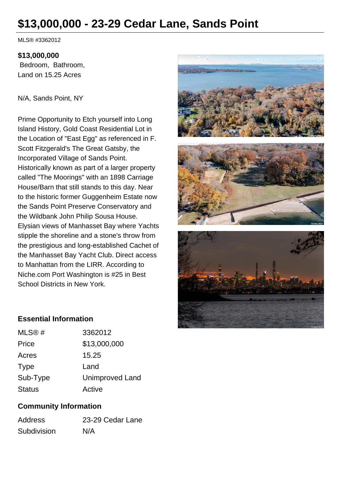# **\$13,000,000 - 23-29 Cedar Lane, Sands Point**

MLS® #3362012

#### **\$13,000,000**

 Bedroom, Bathroom, Land on 15.25 Acres

#### N/A, Sands Point, NY

Prime Opportunity to Etch yourself into Long Island History, Gold Coast Residential Lot in the Location of "East Egg" as referenced in F. Scott Fitzgerald's The Great Gatsby, the Incorporated Village of Sands Point. Historically known as part of a larger property called "The Moorings" with an 1898 Carriage House/Barn that still stands to this day. Near to the historic former Guggenheim Estate now the Sands Point Preserve Conservatory and the Wildbank John Philip Sousa House. Elysian views of Manhasset Bay where Yachts stipple the shoreline and a stone's throw from the prestigious and long-established Cachet of the Manhasset Bay Yacht Club. Direct access to Manhattan from the LIRR. According to Niche.com Port Washington is #25 in Best School Districts in New York.



### **Essential Information**

| MLS@#         | 3362012                |
|---------------|------------------------|
| Price         | \$13,000,000           |
| Acres         | 15.25                  |
| <b>Type</b>   | Land                   |
| Sub-Type      | <b>Unimproved Land</b> |
| <b>Status</b> | Active                 |

## **Community Information**

| <b>Address</b> | 23-29 Cedar Lane |
|----------------|------------------|
| Subdivision    | N/A              |